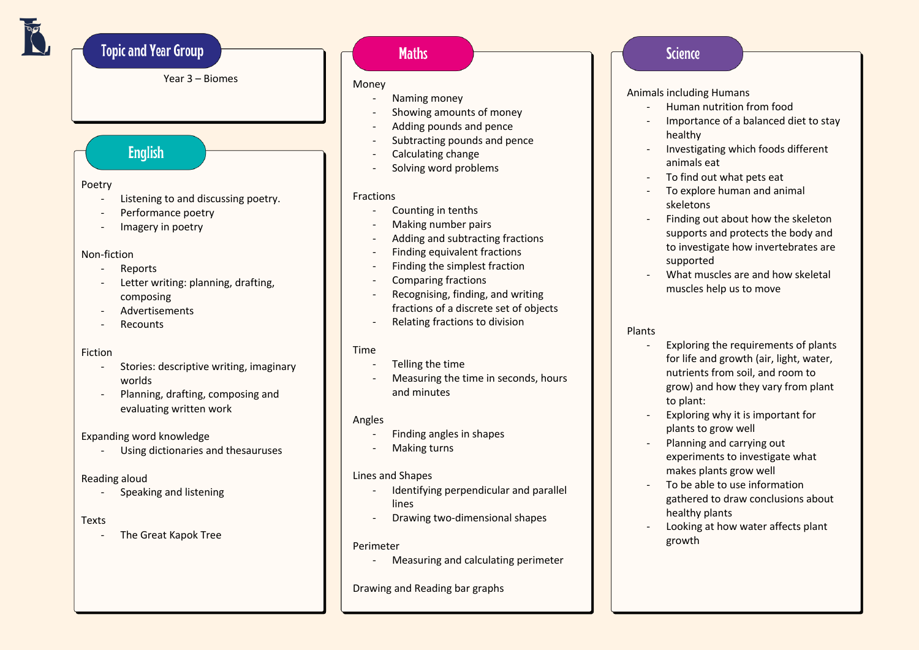# **Topic and Year Group**

Year 3 – Biomes

## **English**

### Poetry

- Listening to and discussing poetry.
- Performance poetry
- Imagery in poetry

#### Non-fiction

- Reports
- Letter writing: planning, drafting, composing
- Advertisements
- **Recounts**

### Fiction

- Stories: descriptive writing, imaginary worlds
- Planning, drafting, composing and evaluating written work

### Expanding word knowledge

- Using dictionaries and thesauruses

### Reading aloud

- Speaking and listening

### Texts

- The Great Kapok Tree

### **Maths**

### Money

- Naming money
- Showing amounts of money
- Adding pounds and pence
- Subtracting pounds and pence
- Calculating change
- Solving word problems

### Fractions

- Counting in tenths
- Making number pairs
- Adding and subtracting fractions
- Finding equivalent fractions
- Finding the simplest fraction
- Comparing fractions
- Recognising, finding, and writing fractions of a discrete set of objects
- Relating fractions to division

### Time

- Telling the time
- Measuring the time in seconds, hours and minutes

### Angles

- Finding angles in shapes
- Making turns

### Lines and Shapes

- Identifying perpendicular and parallel lines
- Drawing two-dimensional shapes

### Perimeter

- Measuring and calculating perimeter

Drawing and Reading bar graphs

### **Science**

### Animals including Humans

- Human nutrition from food
- Importance of a balanced diet to stay healthy
- Investigating which foods different animals eat
- To find out what pets eat
- To explore human and animal skeletons
- Finding out about how the skeleton supports and protects the body and to investigate how invertebrates are supported
- What muscles are and how skeletal muscles help us to move

#### Plants

- Exploring the requirements of plants for life and growth (air, light, water, nutrients from soil, and room to grow) and how they vary from plant to plant:
- Exploring why it is important for plants to grow well
- Planning and carrying out experiments to investigate what makes plants grow well
- To be able to use information gathered to draw conclusions about healthy plants
- Looking at how water affects plant growth